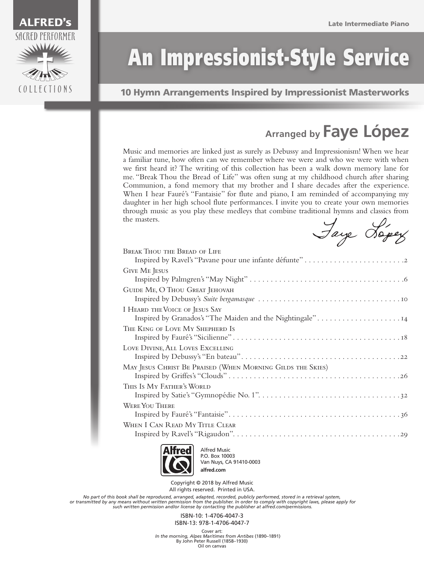

## An Impressionist-Style Service

10 Hymn Arrangements Inspired by Impressionist Masterworks

## **Arranged by Faye López**

Music and memories are linked just as surely as Debussy and Impressionism! When we hear a familiar tune, how often can we remember where we were and who we were with when we first heard it? The writing of this collection has been a walk down memory lane for me. "Break Thou the Bread of Life" was often sung at my childhood church after sharing Communion, a fond memory that my brother and I share decades after the experience. When I hear Fauré's "Fantaisie" for flute and piano, I am reminded of accompanying my daughter in her high school flute performances. I invite you to create your own memories through music as you play these medleys that combine traditional hymns and classics from the masters.

Jaye Jopey

| <b>BREAK THOU THE BREAD OF LIFE</b>                                                         |
|---------------------------------------------------------------------------------------------|
| <b>GIVE ME JESUS</b>                                                                        |
| GUIDE ME, O THOU GREAT JEHOVAH                                                              |
| I HEARD THE VOICE OF JESUS SAY<br>Inspired by Granados's "The Maiden and the Nightingale"14 |
| THE KING OF LOVE MY SHEPHERD IS                                                             |
| LOVE DIVINE, ALL LOVES EXCELLING                                                            |
| MAY JESUS CHRIST BE PRAISED (WHEN MORNING GILDS THE SKIES)                                  |
| THIS IS MY FATHER'S WORLD                                                                   |
| <b>WERE YOU THERE</b>                                                                       |
| WHEN I CAN READ MY TITLE CLEAR                                                              |
|                                                                                             |



Alfred Music P.O. Box 10003 Van Nuys, CA 91410-0003 **alfred.com**

Copyright © 2018 by Alfred Music All rights reserved. Printed in USA.

No part of this book shall be reproduced, arranged, adapted, recorded, publicly performed, stored in a retrieval system,<br>or transmitted by any means without written permission from the publisher. In order to comply with co  *such written permission and/or license by contacting the publisher at alfred.com/permissions.*

> ISBN-10: 1-4706-4047-3 ISBN-13: 978-1-4706-4047-7

Cover art: *In the morning, Alpes Maritimes from Antibes* (1890–1891) By John Peter Russell (1858–1930) Oil on canvas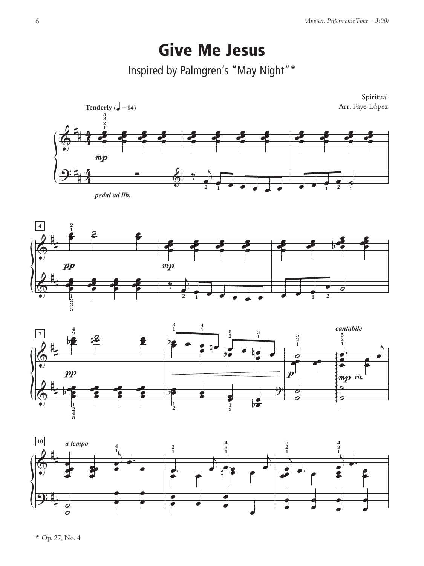## Give Me Jesus

Inspired by Palmgren's "May Night"\*